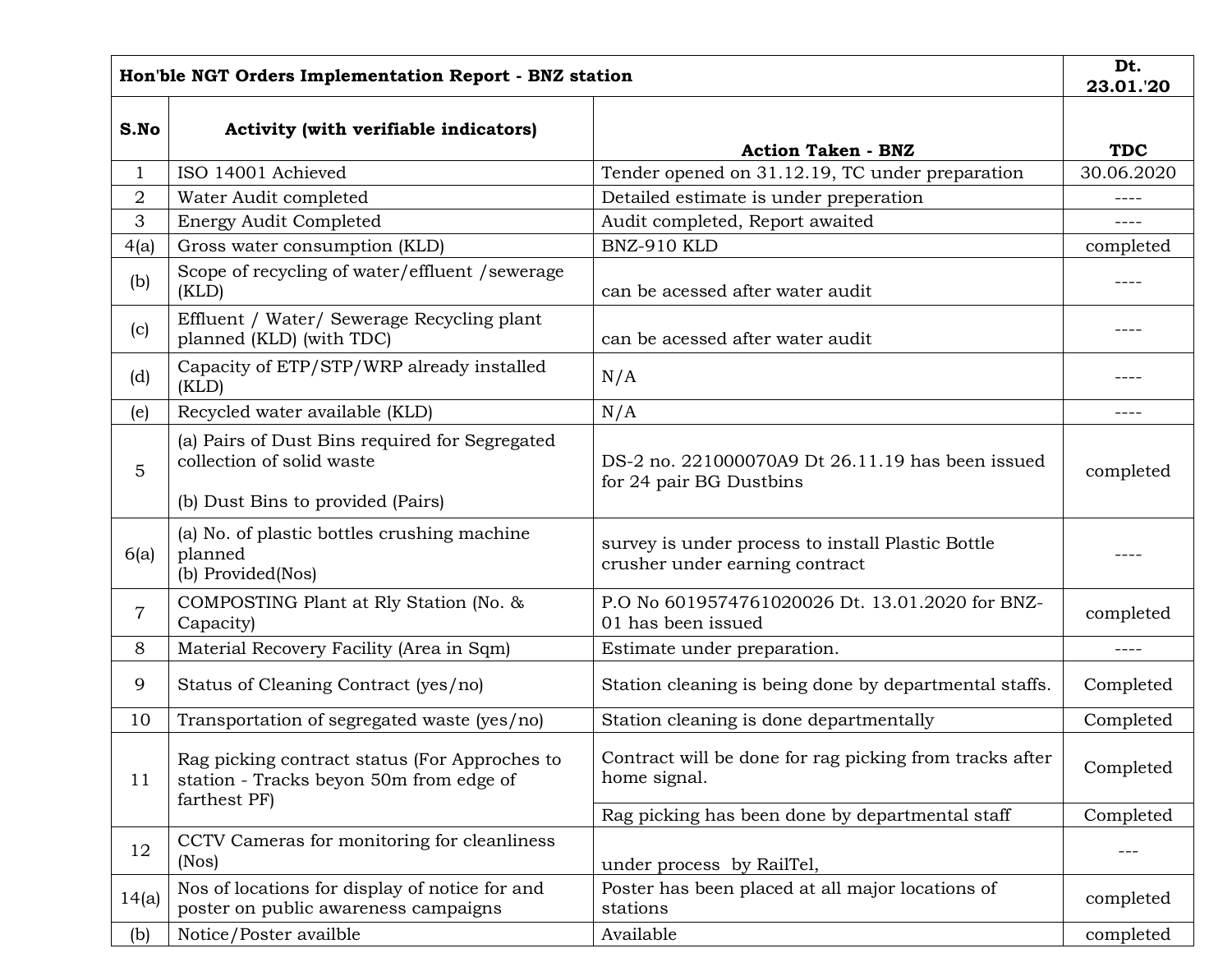| Hon'ble NGT Orders Implementation Report - BNZ station |                                                                                                                  |                                                                                     | Dt.<br>23.01.'20 |
|--------------------------------------------------------|------------------------------------------------------------------------------------------------------------------|-------------------------------------------------------------------------------------|------------------|
| S.No                                                   | Activity (with verifiable indicators)                                                                            | <b>Action Taken - BNZ</b>                                                           | <b>TDC</b>       |
| $\mathbf{1}$                                           | ISO 14001 Achieved                                                                                               | Tender opened on 31.12.19, TC under preparation                                     | 30.06.2020       |
| 2                                                      | Water Audit completed                                                                                            | Detailed estimate is under preperation                                              | $- - - -$        |
| 3                                                      | <b>Energy Audit Completed</b>                                                                                    | Audit completed, Report awaited                                                     |                  |
| 4(a)                                                   | Gross water consumption (KLD)                                                                                    | BNZ-910 KLD                                                                         | completed        |
| (b)                                                    | Scope of recycling of water/effluent /sewerage<br>(KLD)                                                          | can be acessed after water audit                                                    | ----             |
| (c)                                                    | Effluent / Water/ Sewerage Recycling plant<br>planned (KLD) (with TDC)                                           | can be acessed after water audit                                                    | ----             |
| (d)                                                    | Capacity of ETP/STP/WRP already installed<br>(KLD)                                                               | N/A                                                                                 |                  |
| (e)                                                    | Recycled water available (KLD)                                                                                   | N/A                                                                                 | ----             |
| 5                                                      | (a) Pairs of Dust Bins required for Segregated<br>collection of solid waste<br>(b) Dust Bins to provided (Pairs) | DS-2 no. 221000070A9 Dt 26.11.19 has been issued<br>for 24 pair BG Dustbins         | completed        |
| 6(a)                                                   | (a) No. of plastic bottles crushing machine<br>planned<br>(b) Provided(Nos)                                      | survey is under process to install Plastic Bottle<br>crusher under earning contract |                  |
| $\overline{7}$                                         | COMPOSTING Plant at Rly Station (No. &<br>Capacity)                                                              | P.O No 6019574761020026 Dt. 13.01.2020 for BNZ-<br>01 has been issued               | completed        |
| 8                                                      | Material Recovery Facility (Area in Sqm)                                                                         | Estimate under preparation.                                                         | $- - - -$        |
| 9                                                      | Status of Cleaning Contract (yes/no)                                                                             | Station cleaning is being done by departmental staffs.                              | Completed        |
| 10                                                     | Transportation of segregated waste (yes/no)                                                                      | Station cleaning is done departmentally                                             | Completed        |
| 11                                                     | Rag picking contract status (For Approches to<br>station - Tracks beyon 50m from edge of                         | Contract will be done for rag picking from tracks after<br>home signal.             | Completed        |
|                                                        | farthest PF)                                                                                                     | Rag picking has been done by departmental staff                                     | Completed        |
| 12                                                     | CCTV Cameras for monitoring for cleanliness<br>(Nos)                                                             | under process by RailTel,                                                           | ---              |
| 14(a)                                                  | Nos of locations for display of notice for and<br>poster on public awareness campaigns                           | Poster has been placed at all major locations of<br>stations                        | completed        |
| (b)                                                    | Notice/Poster availble                                                                                           | Available                                                                           | completed        |